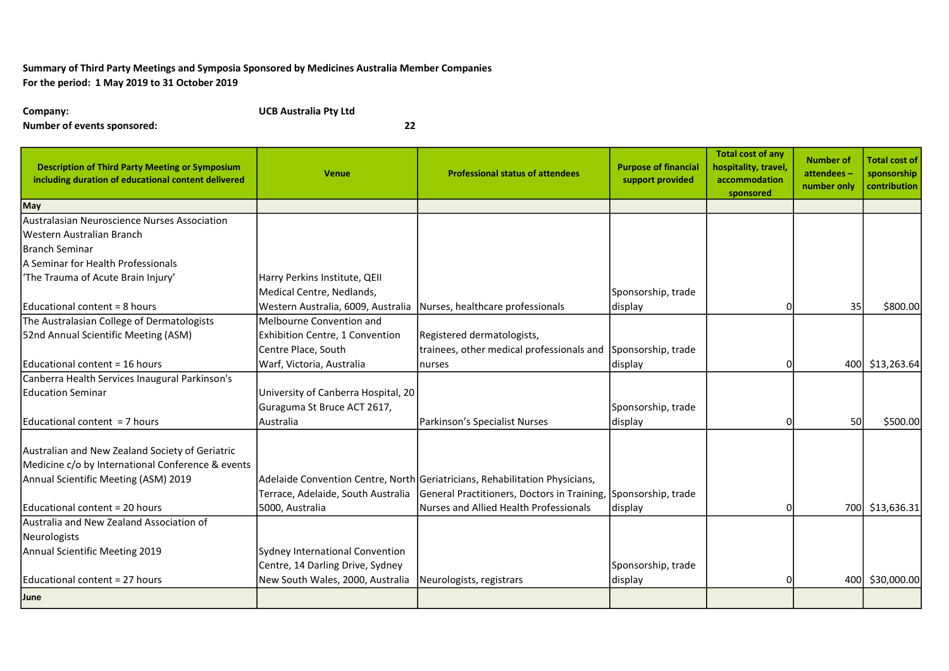## Summary of Third Party Meetings and Symposia Sponsored by Medicines Australia Member Companies For the period: 1 May 2019 to 31 October 2019

Company: UCB Australia Pty Ltd

Number of events sponsored: 22

| <b>Description of Third Party Meeting or Symposium</b><br>including duration of educational content delivered | <b>Venue</b>                        | <b>Professional status of attendees</b>                                     | <b>Purpose of financial</b><br>support provided | <b>Total cost of any</b><br>hospitality, travel,<br>accommodation<br>sponsored | <b>Number of</b><br>attendees-<br>number only | <b>Total cost of</b><br>sponsorship<br>contribution |
|---------------------------------------------------------------------------------------------------------------|-------------------------------------|-----------------------------------------------------------------------------|-------------------------------------------------|--------------------------------------------------------------------------------|-----------------------------------------------|-----------------------------------------------------|
| <b>May</b>                                                                                                    |                                     |                                                                             |                                                 |                                                                                |                                               |                                                     |
| Australasian Neuroscience Nurses Association                                                                  |                                     |                                                                             |                                                 |                                                                                |                                               |                                                     |
| Western Australian Branch                                                                                     |                                     |                                                                             |                                                 |                                                                                |                                               |                                                     |
| lBranch Seminar                                                                                               |                                     |                                                                             |                                                 |                                                                                |                                               |                                                     |
| A Seminar for Health Professionals                                                                            |                                     |                                                                             |                                                 |                                                                                |                                               |                                                     |
| 'The Trauma of Acute Brain Injury'                                                                            | Harry Perkins Institute, QEII       |                                                                             |                                                 |                                                                                |                                               |                                                     |
|                                                                                                               | Medical Centre, Nedlands,           |                                                                             | Sponsorship, trade                              |                                                                                |                                               |                                                     |
| Educational content = 8 hours                                                                                 | Western Australia, 6009, Australia  | Nurses, healthcare professionals                                            | display                                         |                                                                                | 35                                            | \$800.00                                            |
| The Australasian College of Dermatologists                                                                    | Melbourne Convention and            |                                                                             |                                                 |                                                                                |                                               |                                                     |
| 52nd Annual Scientific Meeting (ASM)                                                                          | Exhibition Centre, 1 Convention     | Registered dermatologists,                                                  |                                                 |                                                                                |                                               |                                                     |
|                                                                                                               | Centre Place, South                 | trainees, other medical professionals and                                   | Sponsorship, trade                              |                                                                                |                                               |                                                     |
| Educational content = 16 hours                                                                                | Warf, Victoria, Australia           | nurses                                                                      | display                                         |                                                                                |                                               | 400 \$13,263.64                                     |
| Canberra Health Services Inaugural Parkinson's                                                                |                                     |                                                                             |                                                 |                                                                                |                                               |                                                     |
| <b>Education Seminar</b>                                                                                      | University of Canberra Hospital, 20 |                                                                             |                                                 |                                                                                |                                               |                                                     |
|                                                                                                               | Guraguma St Bruce ACT 2617,         |                                                                             | Sponsorship, trade                              |                                                                                |                                               |                                                     |
| Educational content = 7 hours                                                                                 | <b>Australia</b>                    | Parkinson's Specialist Nurses                                               | display                                         |                                                                                | 50                                            | \$500.00                                            |
| Australian and New Zealand Society of Geriatric                                                               |                                     |                                                                             |                                                 |                                                                                |                                               |                                                     |
| Medicine c/o by International Conference & events                                                             |                                     |                                                                             |                                                 |                                                                                |                                               |                                                     |
| Annual Scientific Meeting (ASM) 2019                                                                          |                                     | Adelaide Convention Centre, North Geriatricians, Rehabilitation Physicians, |                                                 |                                                                                |                                               |                                                     |
|                                                                                                               | Terrace, Adelaide, South Australia  | General Practitioners, Doctors in Training, Sponsorship, trade              |                                                 |                                                                                |                                               |                                                     |
| Educational content = 20 hours                                                                                | 5000, Australia                     | Nurses and Allied Health Professionals                                      | display                                         |                                                                                | 700l                                          | \$13,636.31                                         |
| Australia and New Zealand Association of                                                                      |                                     |                                                                             |                                                 |                                                                                |                                               |                                                     |
| Neurologists                                                                                                  |                                     |                                                                             |                                                 |                                                                                |                                               |                                                     |
| Annual Scientific Meeting 2019                                                                                | Sydney International Convention     |                                                                             |                                                 |                                                                                |                                               |                                                     |
|                                                                                                               | Centre, 14 Darling Drive, Sydney    |                                                                             | Sponsorship, trade                              |                                                                                |                                               |                                                     |
| Educational content = 27 hours                                                                                | New South Wales, 2000, Australia    | Neurologists, registrars                                                    | display                                         |                                                                                | 400                                           | \$30,000.00                                         |
| June                                                                                                          |                                     |                                                                             |                                                 |                                                                                |                                               |                                                     |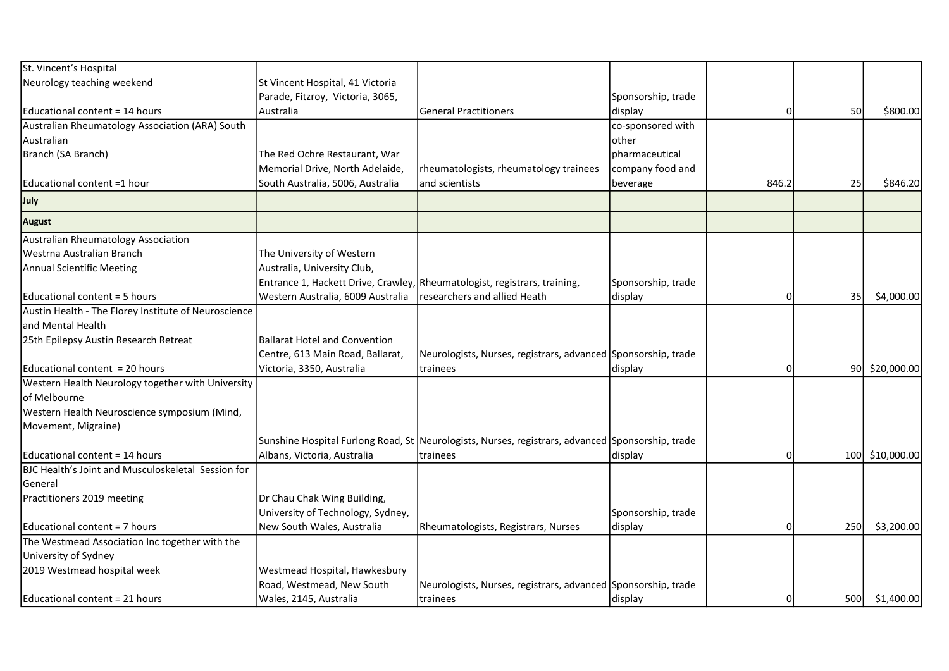| St. Vincent's Hospital                               |                                      |                                                                                                  |                    |          |      |                 |
|------------------------------------------------------|--------------------------------------|--------------------------------------------------------------------------------------------------|--------------------|----------|------|-----------------|
| Neurology teaching weekend                           | St Vincent Hospital, 41 Victoria     |                                                                                                  |                    |          |      |                 |
|                                                      | Parade, Fitzroy, Victoria, 3065,     |                                                                                                  | Sponsorship, trade |          |      |                 |
| Educational content = 14 hours                       | Australia                            | <b>General Practitioners</b>                                                                     | display            | $\Omega$ | 50   | \$800.00        |
| Australian Rheumatology Association (ARA) South      |                                      |                                                                                                  | co-sponsored with  |          |      |                 |
| Australian                                           |                                      |                                                                                                  | lother             |          |      |                 |
| Branch (SA Branch)                                   | The Red Ochre Restaurant, War        |                                                                                                  | pharmaceutical     |          |      |                 |
|                                                      | Memorial Drive, North Adelaide,      | rheumatologists, rheumatology trainees                                                           | company food and   |          |      |                 |
| Educational content =1 hour                          | South Australia, 5006, Australia     | and scientists                                                                                   | beverage           | 846.2    | 25   | \$846.20        |
| July                                                 |                                      |                                                                                                  |                    |          |      |                 |
| <b>August</b>                                        |                                      |                                                                                                  |                    |          |      |                 |
| Australian Rheumatology Association                  |                                      |                                                                                                  |                    |          |      |                 |
| lWestrna Australian Branch                           | The University of Western            |                                                                                                  |                    |          |      |                 |
| Annual Scientific Meeting                            | Australia, University Club,          |                                                                                                  |                    |          |      |                 |
|                                                      |                                      | Entrance 1, Hackett Drive, Crawley, Rheumatologist, registrars, training,                        | Sponsorship, trade |          |      |                 |
| Educational content = 5 hours                        | Western Australia, 6009 Australia    | researchers and allied Heath                                                                     | display            | 0        | 35   | \$4,000.00      |
| Austin Health - The Florey Institute of Neuroscience |                                      |                                                                                                  |                    |          |      |                 |
| and Mental Health                                    |                                      |                                                                                                  |                    |          |      |                 |
| 25th Epilepsy Austin Research Retreat                | <b>Ballarat Hotel and Convention</b> |                                                                                                  |                    |          |      |                 |
|                                                      | Centre, 613 Main Road, Ballarat,     | Neurologists, Nurses, registrars, advanced Sponsorship, trade                                    |                    |          |      |                 |
| lEducational content = 20 hours                      | Victoria, 3350, Australia            | trainees                                                                                         | display            | O        | 90I  | \$20,000.00     |
| Western Health Neurology together with University    |                                      |                                                                                                  |                    |          |      |                 |
| of Melbourne                                         |                                      |                                                                                                  |                    |          |      |                 |
| Western Health Neuroscience symposium (Mind,         |                                      |                                                                                                  |                    |          |      |                 |
| Movement, Migraine)                                  |                                      |                                                                                                  |                    |          |      |                 |
|                                                      |                                      | Sunshine Hospital Furlong Road, St Neurologists, Nurses, registrars, advanced Sponsorship, trade |                    |          |      |                 |
| lEducational content = 14 hours                      | Albans, Victoria, Australia          | trainees                                                                                         | display            | 0        |      | 100 \$10,000.00 |
| BJC Health's Joint and Musculoskeletal Session for   |                                      |                                                                                                  |                    |          |      |                 |
| lGeneral                                             |                                      |                                                                                                  |                    |          |      |                 |
| Practitioners 2019 meeting                           | Dr Chau Chak Wing Building,          |                                                                                                  |                    |          |      |                 |
|                                                      | University of Technology, Sydney,    |                                                                                                  | Sponsorship, trade |          |      |                 |
| lEducational content = 7 hours                       | New South Wales, Australia           | Rheumatologists, Registrars, Nurses                                                              | display            | $\Omega$ | 250  | \$3,200.00      |
| The Westmead Association Inc together with the       |                                      |                                                                                                  |                    |          |      |                 |
| University of Sydney                                 |                                      |                                                                                                  |                    |          |      |                 |
| 2019 Westmead hospital week                          | Westmead Hospital, Hawkesbury        |                                                                                                  |                    |          |      |                 |
|                                                      | Road, Westmead, New South            | Neurologists, Nurses, registrars, advanced Sponsorship, trade                                    |                    |          |      |                 |
| Educational content = 21 hours                       | Wales, 2145, Australia               | trainees                                                                                         | display            | O        | 500l | \$1,400.00      |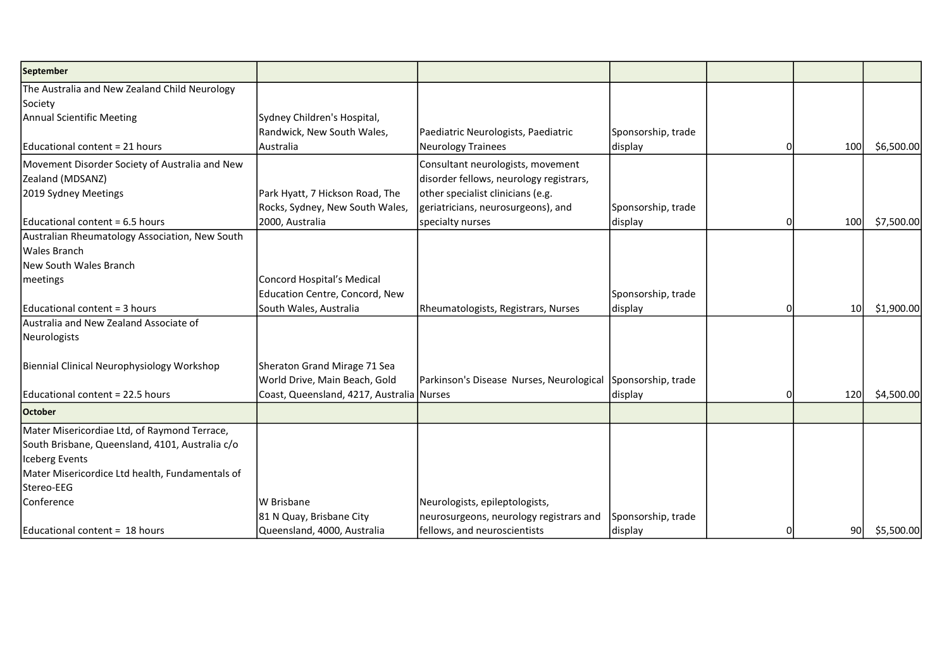| September                                       |                                           |                                                             |                    |   |                 |            |
|-------------------------------------------------|-------------------------------------------|-------------------------------------------------------------|--------------------|---|-----------------|------------|
| The Australia and New Zealand Child Neurology   |                                           |                                                             |                    |   |                 |            |
| Society                                         |                                           |                                                             |                    |   |                 |            |
| Annual Scientific Meeting                       | Sydney Children's Hospital,               |                                                             |                    |   |                 |            |
|                                                 | Randwick, New South Wales,                | Paediatric Neurologists, Paediatric                         | Sponsorship, trade |   |                 |            |
| Educational content = 21 hours                  | Australia                                 | Neurology Trainees                                          | display            |   | 100             | \$6,500.00 |
| Movement Disorder Society of Australia and New  |                                           | Consultant neurologists, movement                           |                    |   |                 |            |
| Zealand (MDSANZ)                                |                                           | disorder fellows, neurology registrars,                     |                    |   |                 |            |
| 2019 Sydney Meetings                            | Park Hyatt, 7 Hickson Road, The           | other specialist clinicians (e.g.                           |                    |   |                 |            |
|                                                 | Rocks, Sydney, New South Wales,           | geriatricians, neurosurgeons), and                          | Sponsorship, trade |   |                 |            |
| Educational content = 6.5 hours                 | 2000, Australia                           | specialty nurses                                            | display            | 0 | 100             | \$7,500.00 |
| Australian Rheumatology Association, New South  |                                           |                                                             |                    |   |                 |            |
| lWales Branch                                   |                                           |                                                             |                    |   |                 |            |
| New South Wales Branch                          |                                           |                                                             |                    |   |                 |            |
| meetings                                        | Concord Hospital's Medical                |                                                             |                    |   |                 |            |
|                                                 | Education Centre, Concord, New            |                                                             | Sponsorship, trade |   |                 |            |
| Educational content = 3 hours                   | South Wales, Australia                    | Rheumatologists, Registrars, Nurses                         | display            |   | 10 <sup>1</sup> | \$1,900.00 |
| Australia and New Zealand Associate of          |                                           |                                                             |                    |   |                 |            |
| Neurologists                                    |                                           |                                                             |                    |   |                 |            |
| Biennial Clinical Neurophysiology Workshop      | Sheraton Grand Mirage 71 Sea              |                                                             |                    |   |                 |            |
|                                                 | World Drive, Main Beach, Gold             | Parkinson's Disease Nurses, Neurological Sponsorship, trade |                    |   |                 |            |
| Educational content = 22.5 hours                | Coast, Queensland, 4217, Australia Nurses |                                                             | display            | O | 120             | \$4,500.00 |
| <b>October</b>                                  |                                           |                                                             |                    |   |                 |            |
| Mater Misericordiae Ltd, of Raymond Terrace,    |                                           |                                                             |                    |   |                 |            |
| South Brisbane, Queensland, 4101, Australia c/o |                                           |                                                             |                    |   |                 |            |
| Iceberg Events                                  |                                           |                                                             |                    |   |                 |            |
| Mater Misericordice Ltd health, Fundamentals of |                                           |                                                             |                    |   |                 |            |
| Stereo-EEG                                      |                                           |                                                             |                    |   |                 |            |
| Conference                                      | W Brisbane                                | Neurologists, epileptologists,                              |                    |   |                 |            |
|                                                 | 81 N Quay, Brisbane City                  | neurosurgeons, neurology registrars and                     | Sponsorship, trade |   |                 |            |
| Educational content = 18 hours                  | Queensland, 4000, Australia               | fellows, and neuroscientists                                | display            | 0 | 90              | \$5,500.00 |